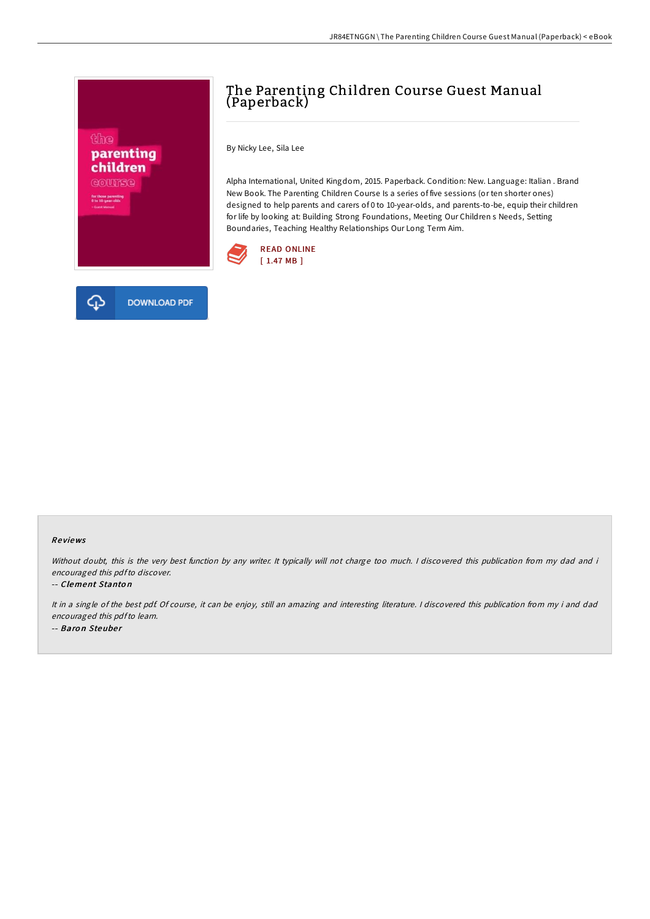

# The Parenting Children Course Guest Manual (Paperback)

By Nicky Lee, Sila Lee

Alpha International, United Kingdom, 2015. Paperback. Condition: New. Language: Italian . Brand New Book. The Parenting Children Course Is a series of five sessions (or ten shorter ones) designed to help parents and carers of 0 to 10-year-olds, and parents-to-be, equip their children for life by looking at: Building Strong Foundations, Meeting Our Children s Needs, Setting Boundaries, Teaching Healthy Relationships Our Long Term Aim.



### Re views

Without doubt, this is the very best function by any writer. It typically will not charge too much. I discovered this publication from my dad and i encouraged this pdfto discover.

### -- Clement Stanto <sup>n</sup>

It in <sup>a</sup> single of the best pdf. Of course, it can be enjoy, still an amazing and interesting literature. <sup>I</sup> discovered this publication from my i and dad encouraged this pdfto learn. -- Baron Steuber